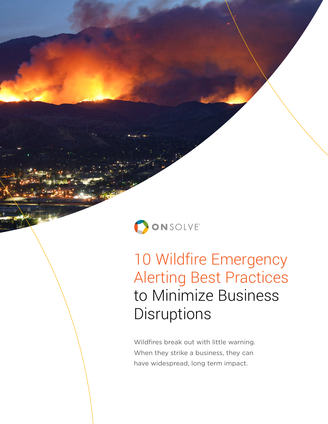

10 Wildfire Emergency Alerting Best Practices to Minimize Business **Disruptions** 

Wildfires break out with little warning. When they strike a business, they can have widespread, long term impact.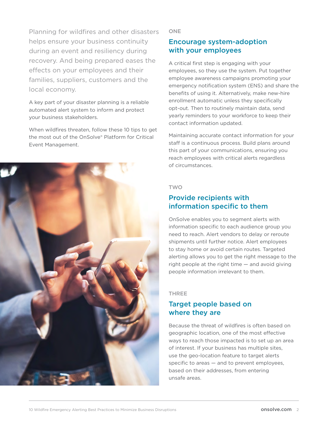Planning for wildfires and other disasters helps ensure your business continuity during an event and resiliency during recovery. And being prepared eases the effects on your employees and their families, suppliers, customers and the local economy.

A key part of your disaster planning is a reliable automated alert system to inform and protect your business stakeholders.

When wildfires threaten, follow these 10 tips to get the most out of the OnSolve® Platform for Critical Event Management.



**ONE** 

# Encourage system-adoption with your employees

A critical first step is engaging with your employees, so they use the system. Put together employee awareness campaigns promoting your emergency notification system (ENS) and share the benefits of using it. Alternatively, make new-hire enrollment automatic unless they specifically opt-out. Then to routinely maintain data, send yearly reminders to your workforce to keep their contact information updated.

Maintaining accurate contact information for your staff is a continuous process. Build plans around this part of your communications, ensuring you reach employees with critical alerts regardless of circumstances.

### TWO

## Provide recipients with information specific to them

OnSolve enables you to segment alerts with information specific to each audience group you need to reach. Alert vendors to delay or reroute shipments until further notice. Alert employees to stay home or avoid certain routes. Targeted alerting allows you to get the right message to the right people at the right time — and avoid giving people information irrelevant to them.

### THREE

# Target people based on where they are

Because the threat of wildfires is often based on geographic location, one of the most effective ways to reach those impacted is to set up an area of interest. If your business has multiple sites, use the geo-location feature to target alerts specific to areas — and to prevent employees, based on their addresses, from entering unsafe areas.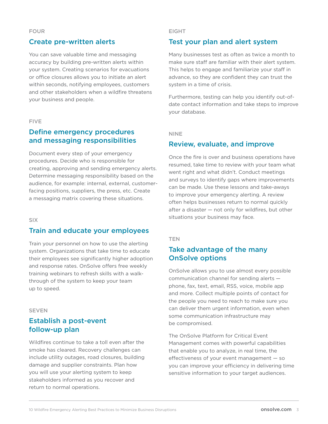## Create pre-written alerts

You can save valuable time and messaging accuracy by building pre-written alerts within your system. Creating scenarios for evacuations or office closures allows you to initiate an alert within seconds, notifying employees, customers and other stakeholders when a wildfire threatens your business and people.

### FIVE

## Define emergency procedures and messaging responsibilities

Document every step of your emergency procedures. Decide who is responsible for creating, approving and sending emergency alerts. Determine messaging responsibility based on the audience, for example: internal, external, customerfacing positions, suppliers, the press, etc. Create a messaging matrix covering these situations.

#### SIX

## Train and educate your employees

Train your personnel on how to use the alerting system. Organizations that take time to educate their employees see significantly higher adoption and response rates. OnSolve offers free weekly training webinars to refresh skills with a walkthrough of the system to keep your team up to speed.

#### **SEVEN**

## Establish a post-event follow-up plan

Wildfires continue to take a toll even after the smoke has cleared. Recovery challenges can include utility outages, road closures, building damage and supplier constraints. Plan how you will use your alerting system to keep stakeholders informed as you recover and return to normal operations.

#### EIGHT

### Test your plan and alert system

Many businesses test as often as twice a month to make sure staff are familiar with their alert system. This helps to engage and familiarize your staff in advance, so they are confident they can trust the system in a time of crisis.

Furthermore, testing can help you identify out-ofdate contact information and take steps to improve your database.

#### NINE

### Review, evaluate, and improve

Once the fire is over and business operations have resumed, take time to review with your team what went right and what didn't. Conduct meetings and surveys to identify gaps where improvements can be made. Use these lessons and take-aways to improve your emergency alerting. A review often helps businesses return to normal quickly after a disaster — not only for wildfires, but other situations your business may face.

#### **TEN**

# Take advantage of the many OnSolve options

OnSolve allows you to use almost every possible communication channel for sending alerts phone, fax, text, email, RSS, voice, mobile app and more. Collect multiple points of contact for the people you need to reach to make sure you can deliver them urgent information, even when some communication infrastructure may be compromised.

The OnSolve Platform for Critical Event Management comes with powerful capabilities that enable you to analyze, in real time, the effectiveness of your event management — so you can improve your efficiency in delivering time sensitive information to your target audiences.